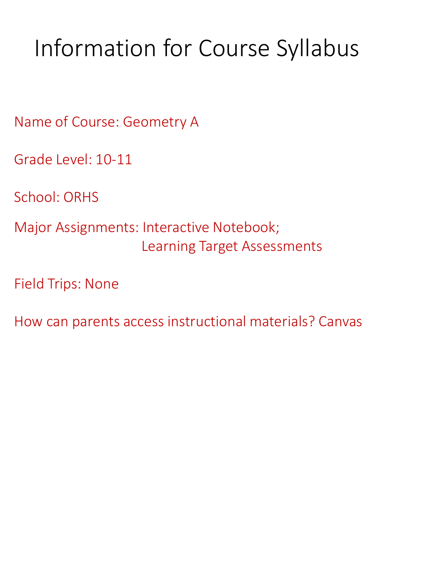# Information for Course Syllabus

Name of Course: Geometry A

Grade Level: 10-11

School: ORHS

Major Assignments: Interactive Notebook; Learning Target Assessments

Field Trips: None

How can parents access instructional materials? Canvas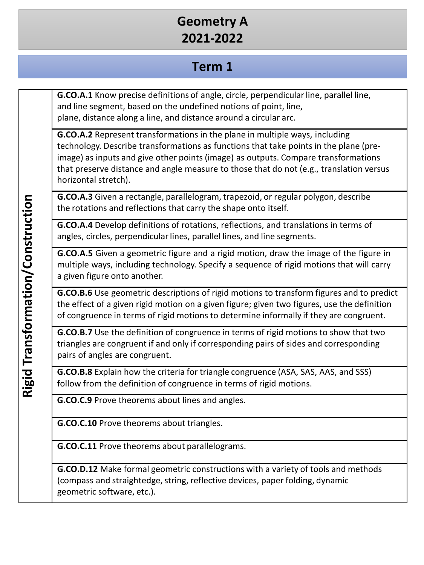## **Geometry A 2021-2022**

#### **Term 1**

**G.CO.A.1** Know precise definitions of angle, circle, perpendicular line, parallel line, and line segment, based on the undefined notions of point, line, plane, distance along a line, and distance around a circular arc.

**G.CO.A.2** Represent transformations in the plane in multiple ways, including technology. Describe transformations as functions that take points in the plane (preimage) as inputs and give other points (image) as outputs. Compare transformations that preserve distance and angle measure to those that do not (e.g., translation versus horizontal stretch).

**G.CO.A.3** Given a rectangle, parallelogram, trapezoid, or regular polygon, describe the rotations and reflections that carry the shape onto itself.

**G.CO.A.4** Develop definitions of rotations, reflections, and translations in terms of angles, circles, perpendicular lines, parallel lines, and line segments.

**G.CO.A.5** Given a geometric figure and a rigid motion, draw the image of the figure in multiple ways, including technology. Specify a sequence of rigid motions that will carry a given figure onto another.

**G.CO.B.6** Use geometric descriptions of rigid motions to transform figures and to predict the effect of a given rigid motion on a given figure; given two figures, use the definition of congruence in terms of rigid motions to determine informally if they are congruent.

**G.CO.B.7** Use the definition of congruence in terms of rigid motions to show that two triangles are congruent if and only if corresponding pairs of sides and corresponding pairs of angles are congruent.

**G.CO.B.8** Explain how the criteria for triangle congruence (ASA, SAS, AAS, and SSS) follow from the definition of congruence in terms of rigid motions.

**G.CO.C.9** Prove theorems about lines and angles.

**G.CO.C.10** Prove theorems about triangles.

**G.CO.C.11** Prove theorems about parallelograms.

**G.CO.D.12** Make formal geometric constructions with a variety of tools and methods (compass and straightedge, string, reflective devices, paper folding, dynamic geometric software, etc.).